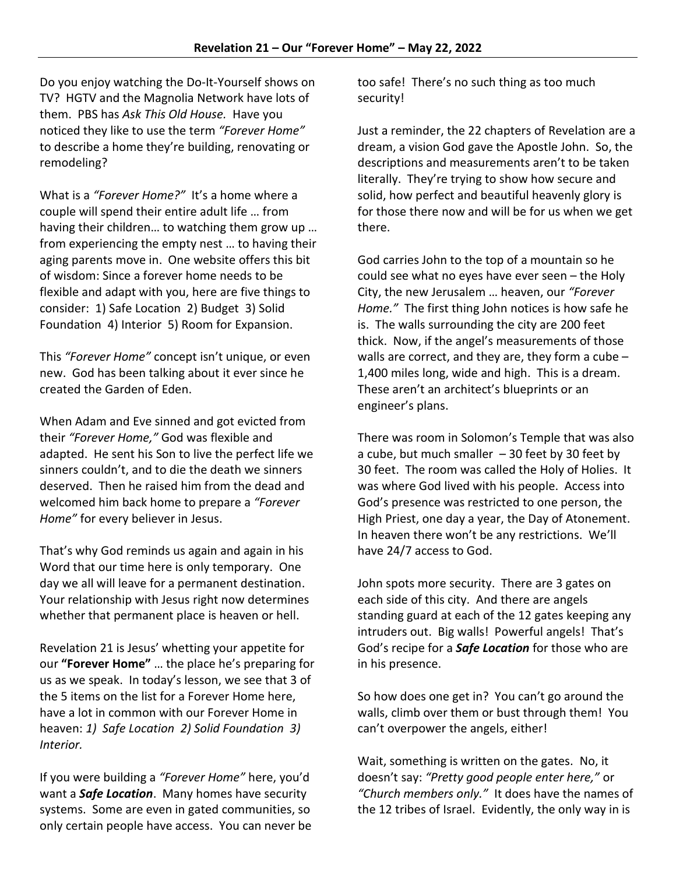Do you enjoy watching the Do-It-Yourself shows on TV? HGTV and the Magnolia Network have lots of them. PBS has *Ask This Old House.* Have you noticed they like to use the term *"Forever Home"* to describe a home they're building, renovating or remodeling?

What is a *"Forever Home?"* It's a home where a couple will spend their entire adult life … from having their children… to watching them grow up … from experiencing the empty nest … to having their aging parents move in. One website offers this bit of wisdom: Since a forever home needs to be flexible and adapt with you, here are five things to consider: 1) Safe Location 2) Budget 3) Solid Foundation 4) Interior 5) Room for Expansion.

This *"Forever Home"* concept isn't unique, or even new. God has been talking about it ever since he created the Garden of Eden.

When Adam and Eve sinned and got evicted from their *"Forever Home,"* God was flexible and adapted. He sent his Son to live the perfect life we sinners couldn't, and to die the death we sinners deserved. Then he raised him from the dead and welcomed him back home to prepare a *"Forever Home"* for every believer in Jesus.

That's why God reminds us again and again in his Word that our time here is only temporary. One day we all will leave for a permanent destination. Your relationship with Jesus right now determines whether that permanent place is heaven or hell.

Revelation 21 is Jesus' whetting your appetite for our **"Forever Home"** … the place he's preparing for us as we speak. In today's lesson, we see that 3 of the 5 items on the list for a Forever Home here, have a lot in common with our Forever Home in heaven: *1) Safe Location 2) Solid Foundation 3) Interior.*

If you were building a *"Forever Home"* here, you'd want a *Safe Location*. Many homes have security systems. Some are even in gated communities, so only certain people have access. You can never be too safe! There's no such thing as too much security!

Just a reminder, the 22 chapters of Revelation are a dream, a vision God gave the Apostle John. So, the descriptions and measurements aren't to be taken literally. They're trying to show how secure and solid, how perfect and beautiful heavenly glory is for those there now and will be for us when we get there.

God carries John to the top of a mountain so he could see what no eyes have ever seen – the Holy City, the new Jerusalem … heaven, our *"Forever Home."* The first thing John notices is how safe he is. The walls surrounding the city are 200 feet thick. Now, if the angel's measurements of those walls are correct, and they are, they form a cube – 1,400 miles long, wide and high. This is a dream. These aren't an architect's blueprints or an engineer's plans.

There was room in Solomon's Temple that was also a cube, but much smaller  $-30$  feet by 30 feet by 30 feet. The room was called the Holy of Holies. It was where God lived with his people. Access into God's presence was restricted to one person, the High Priest, one day a year, the Day of Atonement. In heaven there won't be any restrictions. We'll have 24/7 access to God.

John spots more security. There are 3 gates on each side of this city. And there are angels standing guard at each of the 12 gates keeping any intruders out. Big walls! Powerful angels! That's God's recipe for a *Safe Location* for those who are in his presence.

So how does one get in? You can't go around the walls, climb over them or bust through them! You can't overpower the angels, either!

Wait, something is written on the gates. No, it doesn't say: *"Pretty good people enter here,"* or *"Church members only."* It does have the names of the 12 tribes of Israel. Evidently, the only way in is